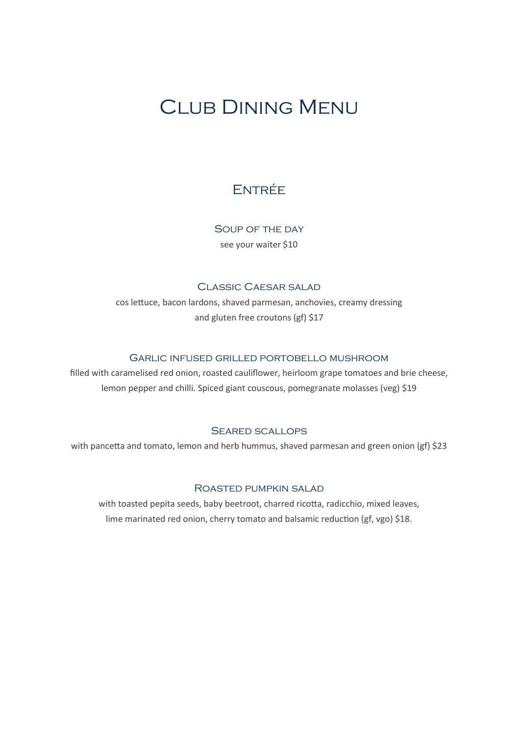# Club Dining Menu

# **ENTRÉE**

Soup of the day see your waiter \$10

### Classic Caesar salad

cos lettuce, bacon lardons, shaved parmesan, anchovies, creamy dressing and gluten free croutons (gf) \$17

### Garlic infused grilled portobello mushroom

filled with caramelised red onion, roasted cauliflower, heirloom grape tomatoes and brie cheese, lemon pepper and chilli. Spiced giant couscous, pomegranate molasses (veg) \$19

#### Seared scallops

with pancetta and tomato, lemon and herb hummus, shaved parmesan and green onion (gf) \$23

#### Roasted pumpkin salad

with toasted pepita seeds, baby beetroot, charred ricotta, radicchio, mixed leaves, lime marinated red onion, cherry tomato and balsamic reduction (gf, vgo) \$18.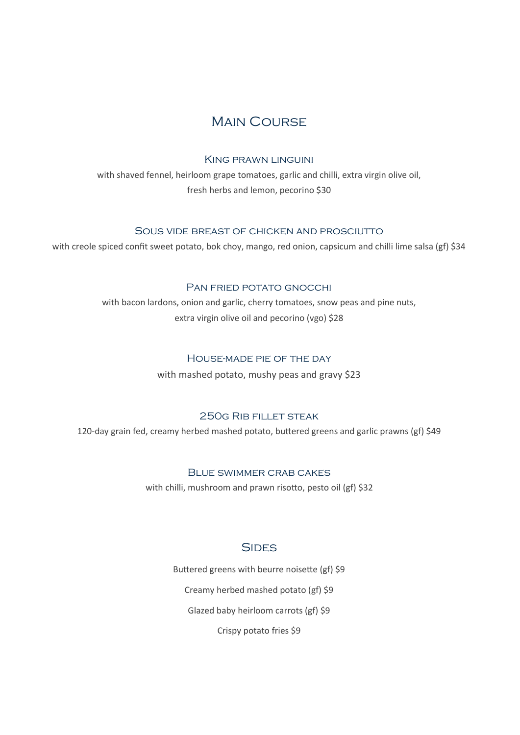# **MAIN COURSE**

#### King prawn linguini

with shaved fennel, heirloom grape tomatoes, garlic and chilli, extra virgin olive oil, fresh herbs and lemon, pecorino \$30

### Sous vide breast of chicken and prosciutto

with creole spiced confit sweet potato, bok choy, mango, red onion, capsicum and chilli lime salsa (gf) \$34

# Pan fried potato gnocchi

with bacon lardons, onion and garlic, cherry tomatoes, snow peas and pine nuts, extra virgin olive oil and pecorino (vgo) \$28

### House-made pie of the day

with mashed potato, mushy peas and gravy \$23

# 250g Rib fillet steak

120-day grain fed, creamy herbed mashed potato, buttered greens and garlic prawns (gf) \$49

### Blue swimmer crab cakes

with chilli, mushroom and prawn risotto, pesto oil (gf) \$32

# **SIDES**

Buttered greens with beurre noisette (gf) \$9

Creamy herbed mashed potato (gf) \$9

Glazed baby heirloom carrots (gf) \$9

Crispy potato fries \$9